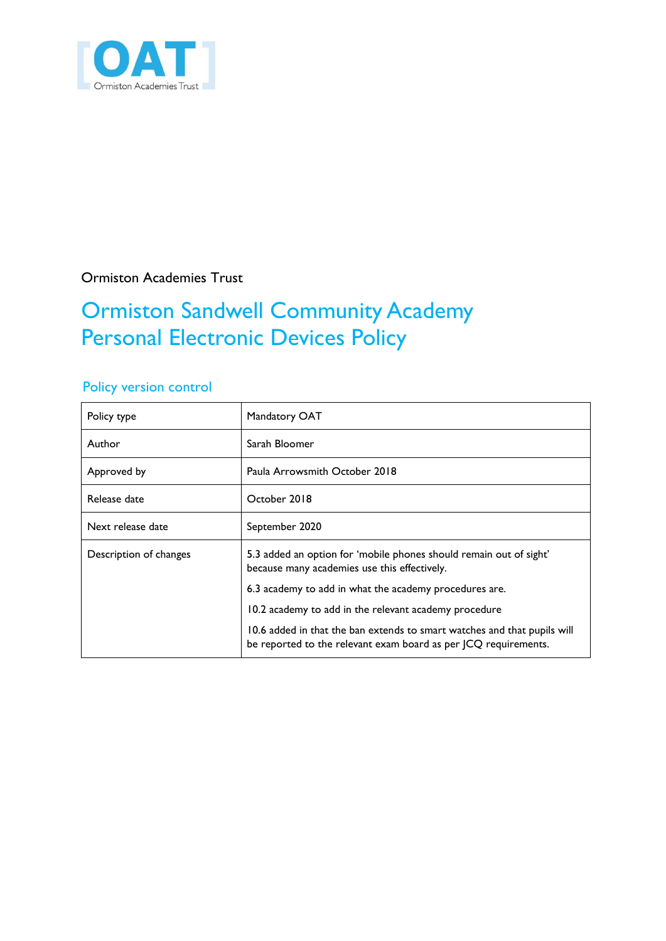

Ormiston Academies Trust

## Ormiston Sandwell Community Academy Personal Electronic Devices Policy

#### Policy version control

| Policy type            | Mandatory OAT                                                                                                                               |  |
|------------------------|---------------------------------------------------------------------------------------------------------------------------------------------|--|
| Author                 | Sarah Bloomer                                                                                                                               |  |
| Approved by            | Paula Arrowsmith October 2018                                                                                                               |  |
| Release date           | October 2018                                                                                                                                |  |
| Next release date      | September 2020                                                                                                                              |  |
| Description of changes | 5.3 added an option for 'mobile phones should remain out of sight'<br>because many academies use this effectively.                          |  |
|                        | 6.3 academy to add in what the academy procedures are.                                                                                      |  |
|                        | 10.2 academy to add in the relevant academy procedure                                                                                       |  |
|                        | 10.6 added in that the ban extends to smart watches and that pupils will<br>be reported to the relevant exam board as per JCQ requirements. |  |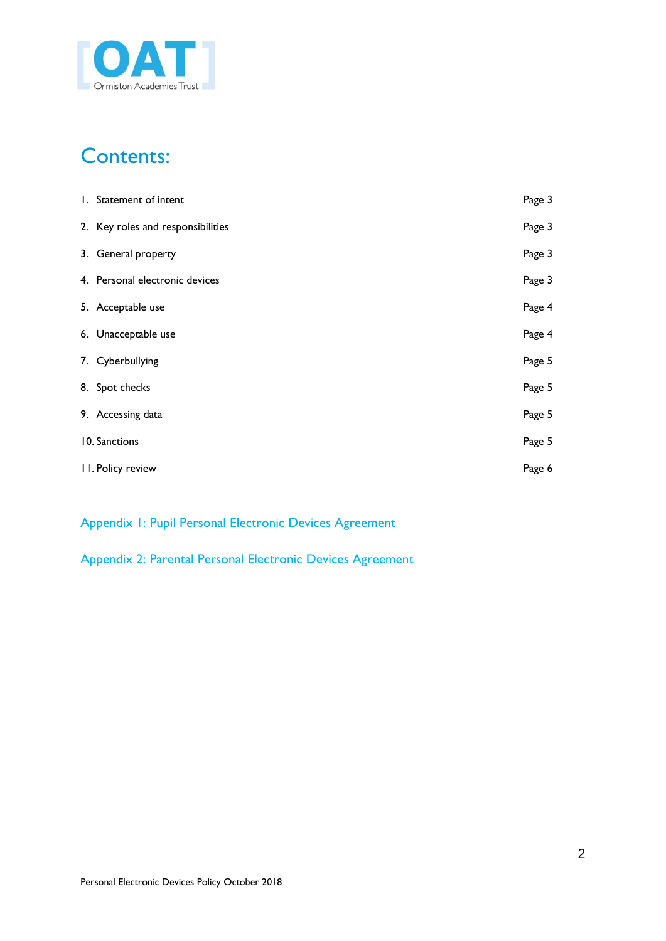

### Contents:

<span id="page-1-0"></span>

| 1. Statement of intent            | Page 3 |
|-----------------------------------|--------|
| 2. Key roles and responsibilities | Page 3 |
| 3. General property               | Page 3 |
| 4. Personal electronic devices    | Page 3 |
| 5. Acceptable use                 | Page 4 |
| 6. Unacceptable use               | Page 4 |
| 7. Cyberbullying                  | Page 5 |
| 8. Spot checks                    | Page 5 |
| 9. Accessing data                 | Page 5 |
| 10. Sanctions                     | Page 5 |
| <b>II. Policy review</b>          | Page 6 |

Appendix 1: Pupil Personal Electronic Devices Agreement

Appendix 2: Parental Personal Electronic Devices Agreement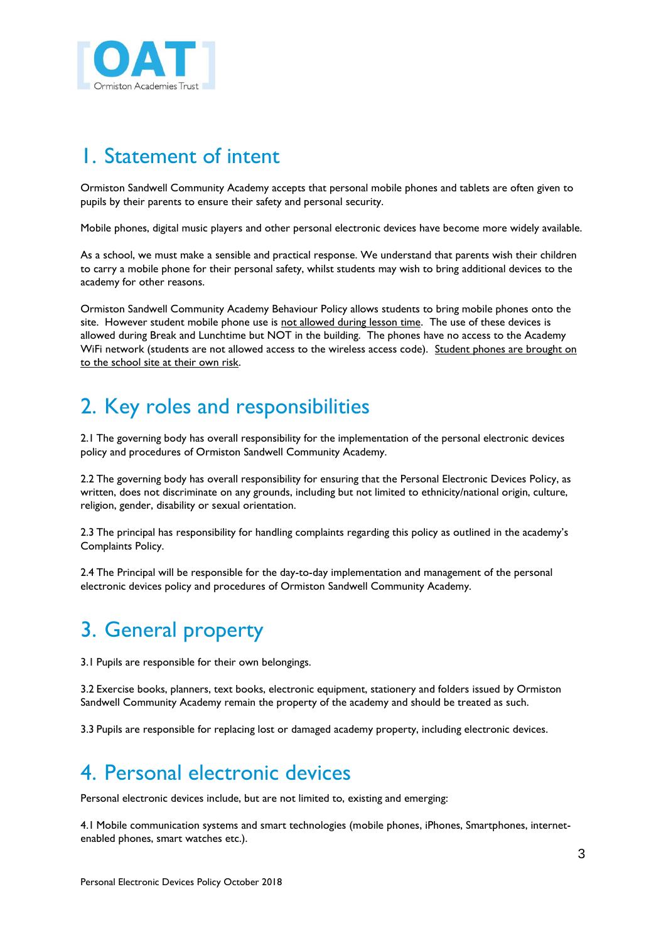

### 1. Statement of intent

Ormiston Sandwell Community Academy accepts that personal mobile phones and tablets are often given to pupils by their parents to ensure their safety and personal security.

Mobile phones, digital music players and other personal electronic devices have become more widely available.

As a school, we must make a sensible and practical response. We understand that parents wish their children to carry a mobile phone for their personal safety, whilst students may wish to bring additional devices to the academy for other reasons.

Ormiston Sandwell Community Academy Behaviour Policy allows students to bring mobile phones onto the site. However student mobile phone use is not allowed during lesson time. The use of these devices is allowed during Break and Lunchtime but NOT in the building. The phones have no access to the Academy WiFi network (students are not allowed access to the wireless access code). Student phones are brought on to the school site at their own risk.

### 2. Key roles and responsibilities

2.1 The governing body has overall responsibility for the implementation of the personal electronic devices policy and procedures of Ormiston Sandwell Community Academy.

2.2 The governing body has overall responsibility for ensuring that the Personal Electronic Devices Policy, as written, does not discriminate on any grounds, including but not limited to ethnicity/national origin, culture, religion, gender, disability or sexual orientation.

2.3 The principal has responsibility for handling complaints regarding this policy as outlined in the academy's Complaints Policy.

2.4 The Principal will be responsible for the day-to-day implementation and management of the personal electronic devices policy and procedures of Ormiston Sandwell Community Academy.

### 3. General property

3.1 Pupils are responsible for their own belongings.

3.2 Exercise books, planners, text books, electronic equipment, stationery and folders issued by Ormiston Sandwell Community Academy remain the property of the academy and should be treated as such.

3.3 Pupils are responsible for replacing lost or damaged academy property, including electronic devices.

#### 4. Personal electronic devices

Personal electronic devices include, but are not limited to, existing and emerging:

4.1 Mobile communication systems and smart technologies (mobile phones, iPhones, Smartphones, internetenabled phones, smart watches etc.).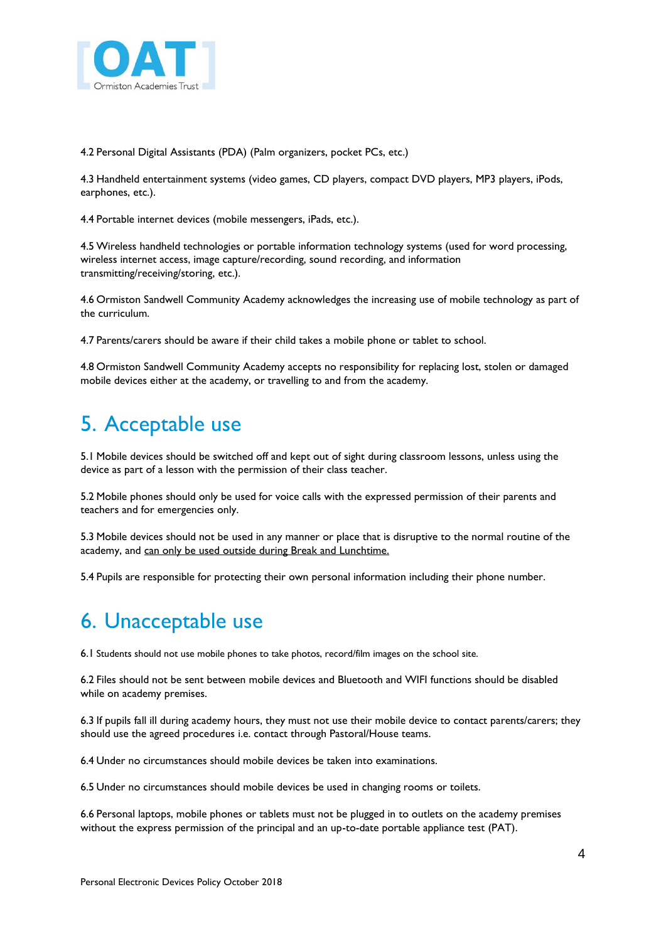

4.2 Personal Digital Assistants (PDA) (Palm organizers, pocket PCs, etc.)

4.3 Handheld entertainment systems (video games, CD players, compact DVD players, MP3 players, iPods, earphones, etc.).

4.4 Portable internet devices (mobile messengers, iPads, etc.).

4.5 Wireless handheld technologies or portable information technology systems (used for word processing, wireless internet access, image capture/recording, sound recording, and information transmitting/receiving/storing, etc.).

4.6 Ormiston Sandwell Community Academy acknowledges the increasing use of mobile technology as part of the curriculum.

4.7 Parents/carers should be aware if their child takes a mobile phone or tablet to school.

4.8 Ormiston Sandwell Community Academy accepts no responsibility for replacing lost, stolen or damaged mobile devices either at the academy, or travelling to and from the academy.

### 5. Acceptable use

5.1 Mobile devices should be switched off and kept out of sight during classroom lessons, unless using the device as part of a lesson with the permission of their class teacher.

5.2 Mobile phones should only be used for voice calls with the expressed permission of their parents and teachers and for emergencies only.

5.3 Mobile devices should not be used in any manner or place that is disruptive to the normal routine of the academy, and can only be used outside during Break and Lunchtime.

5.4 Pupils are responsible for protecting their own personal information including their phone number.

### 6. Unacceptable use

6.1 Students should not use mobile phones to take photos, record/film images on the school site.

6.2 Files should not be sent between mobile devices and Bluetooth and WIFI functions should be disabled while on academy premises.

6.3 If pupils fall ill during academy hours, they must not use their mobile device to contact parents/carers; they should use the agreed procedures i.e. contact through Pastoral/House teams.

6.4 Under no circumstances should mobile devices be taken into examinations.

6.5 Under no circumstances should mobile devices be used in changing rooms or toilets.

6.6 Personal laptops, mobile phones or tablets must not be plugged in to outlets on the academy premises without the express permission of the principal and an up-to-date portable appliance test (PAT).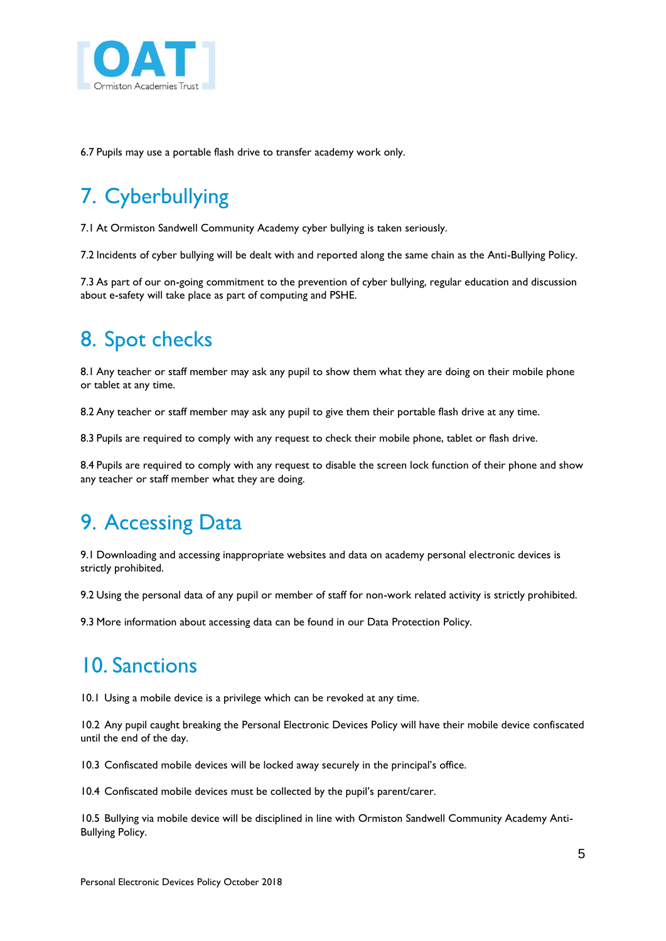

6.7 Pupils may use a portable flash drive to transfer academy work only.

# 7. Cyberbullying

7.1 At Ormiston Sandwell Community Academy cyber bullying is taken seriously.

7.2 Incidents of cyber bullying will be dealt with and reported along the same chain as the Anti-Bullying Policy.

7.3 As part of our on-going commitment to the prevention of cyber bullying, regular education and discussion about e-safety will take place as part of computing and PSHE.

### 8. Spot checks

8.1 Any teacher or staff member may ask any pupil to show them what they are doing on their mobile phone or tablet at any time.

8.2 Any teacher or staff member may ask any pupil to give them their portable flash drive at any time.

8.3 Pupils are required to comply with any request to check their mobile phone, tablet or flash drive.

8.4 Pupils are required to comply with any request to disable the screen lock function of their phone and show any teacher or staff member what they are doing.

### 9. Accessing Data

9.1 Downloading and accessing inappropriate websites and data on academy personal electronic devices is strictly prohibited.

9.2 Using the personal data of any pupil or member of staff for non-work related activity is strictly prohibited.

9.3 More information about accessing data can be found in our Data Protection Policy.

### 10. Sanctions

10.1 Using a mobile device is a privilege which can be revoked at any time.

10.2 Any pupil caught breaking the Personal Electronic Devices Policy will have their mobile device confiscated until the end of the day.

10.3 Confiscated mobile devices will be locked away securely in the principal's office.

10.4 Confiscated mobile devices must be collected by the pupil's parent/carer.

10.5 Bullying via mobile device will be disciplined in line with Ormiston Sandwell Community Academy Anti-Bullying Policy.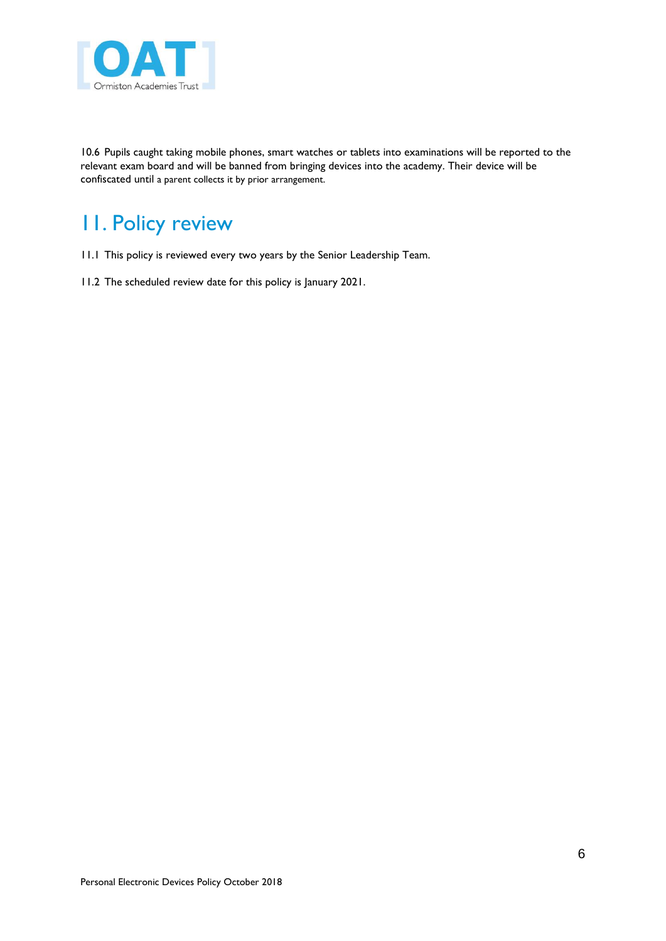

10.6 Pupils caught taking mobile phones, smart watches or tablets into examinations will be reported to the relevant exam board and will be banned from bringing devices into the academy. Their device will be confiscated until a parent collects it by prior arrangement.

### 11. Policy review

- 11.1 This policy is reviewed every two years by the Senior Leadership Team.
- 11.2 The scheduled review date for this policy is January 2021.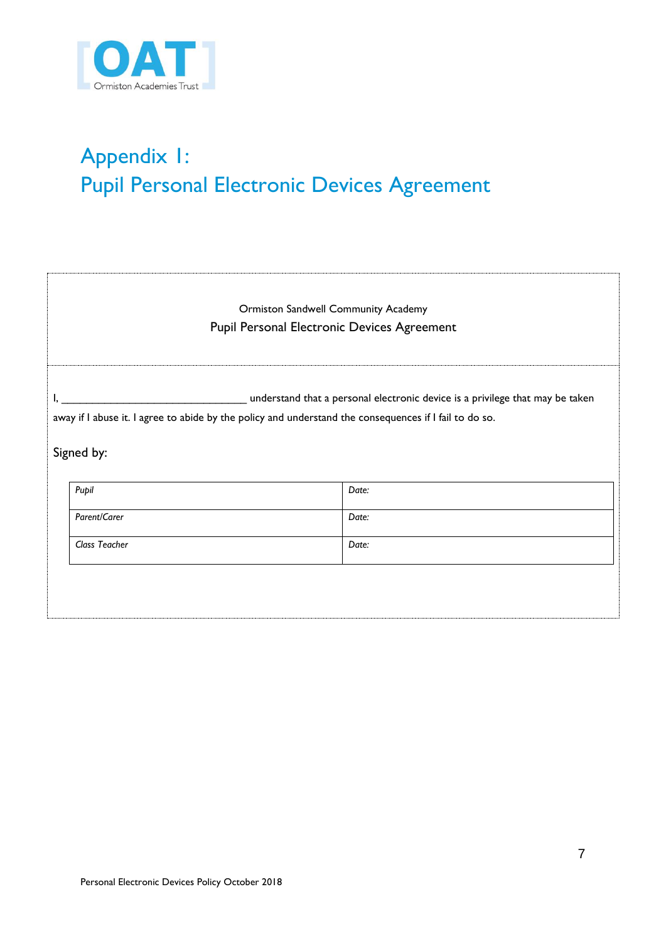

# Appendix 1: Pupil Personal Electronic Devices Agreement

| <b>Ormiston Sandwell Community Academy</b> |                                                                                                                                                                                           |  |       |  |  |  |  |
|--------------------------------------------|-------------------------------------------------------------------------------------------------------------------------------------------------------------------------------------------|--|-------|--|--|--|--|
|                                            | Pupil Personal Electronic Devices Agreement                                                                                                                                               |  |       |  |  |  |  |
|                                            |                                                                                                                                                                                           |  |       |  |  |  |  |
|                                            | _ understand that a personal electronic device is a privilege that may be taken<br>away if I abuse it. I agree to abide by the policy and understand the consequences if I fail to do so. |  |       |  |  |  |  |
|                                            |                                                                                                                                                                                           |  |       |  |  |  |  |
|                                            | Signed by:                                                                                                                                                                                |  |       |  |  |  |  |
|                                            |                                                                                                                                                                                           |  |       |  |  |  |  |
|                                            | Pupil                                                                                                                                                                                     |  | Date: |  |  |  |  |
|                                            | Parent/Carer                                                                                                                                                                              |  | Date: |  |  |  |  |
|                                            | Class Teacher                                                                                                                                                                             |  | Date: |  |  |  |  |
|                                            |                                                                                                                                                                                           |  |       |  |  |  |  |
|                                            |                                                                                                                                                                                           |  |       |  |  |  |  |
|                                            |                                                                                                                                                                                           |  |       |  |  |  |  |